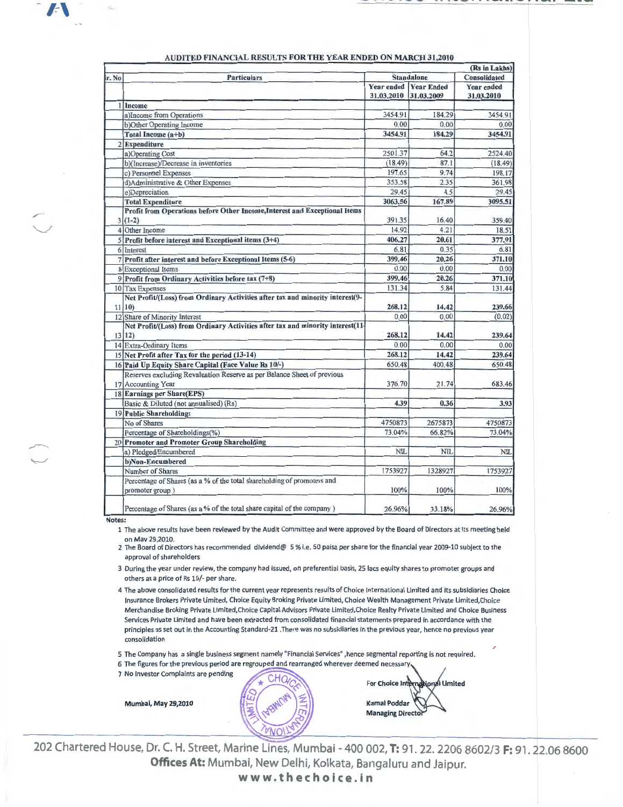,---  $\overline{\phantom{a}}$ 

,...~ ·............,-

|       |                                                                                               | (Rs in Lakhs) |                                            |                                 |
|-------|-----------------------------------------------------------------------------------------------|---------------|--------------------------------------------|---------------------------------|
| r. No | <b>Particulars</b>                                                                            |               | <b>Standalone</b>                          |                                 |
|       |                                                                                               | 31.03.2010    | <b>Year ended Year Ended</b><br>31.03.2009 | <b>Year ended</b><br>31.03.2010 |
|       | Income                                                                                        |               |                                            |                                 |
|       | a)Income from Operations                                                                      | 3454.91       | 184.29                                     | 3454.91                         |
|       | b)Other Operating Income                                                                      | 0.00          | 0.00                                       | 0.00                            |
|       | Total Income (a+b)                                                                            | 3454.91       | 184.29                                     | 3454.91                         |
|       | 2 Expenditure                                                                                 |               |                                            |                                 |
|       | a)Operating Cost                                                                              | 2501.37       | 64.2                                       | 2524.40                         |
|       | b)(Increase)/Decrease in inventories                                                          | (18.49)       | 87.1                                       | (18.49)                         |
|       | c) Personnel Expenses                                                                         | 197.65        | 9.74                                       | 198.17                          |
|       | d)Administrative & Other Expenses                                                             | 353.58        | 2.35                                       | 361.98                          |
|       | e)Depreciation                                                                                | 29.45         | 4.5                                        | 29.45                           |
|       | <b>Total Expenditure</b>                                                                      | 3063.56       | 167.89                                     | 3095.51                         |
|       | Profit from Operations before Other Income, Interest and Exceptional Items<br>$3(1-2)$        | 391.35        | 16.40                                      | 359.40                          |
|       | 4 Other Income                                                                                | 14.92         | 4.21                                       | 18.51                           |
|       | $5$ Profit before interest and Exceptional items (3+4)                                        | 406.27        | 20.61                                      | 377.91                          |
|       | 6 Interest                                                                                    | 6.81          | 0.35                                       | 6.81                            |
|       | 7 Profit after interest and before Exceptional Items (5-6)                                    | 399.46        | 20.26                                      | 371.10                          |
|       | 8 Exceptional Items                                                                           | 0.00          | 0.00                                       | 0.00                            |
|       | 9 Profit from Ordinary Activities before tax (7+8)                                            | 399.46        | 20.26                                      | 371.10                          |
|       | 10 Tax Expenses                                                                               | 131.34        | 5.84                                       | 131.44                          |
|       | Net Profit/(Loss) from Ordinary Activities after tax and minority interest(9-<br>11 10        | 268.12        | 14.42                                      | 239.66                          |
|       | 12 Share of Minority Interest                                                                 | 0.00          | 0.00                                       | (0.02)                          |
|       | Net Profit/(Loss) from Ordinary Activities after tax and minority interest(11<br>13 12)       | 268.12        | 14.42                                      | 239.64                          |
|       | 14 Extra-Ordinary Items                                                                       | 0.00          | 0.00                                       | 0.00                            |
|       | 15 Net Profit after Tax for the period (13-14)                                                | 268.12        | 14.42                                      | 239.64                          |
|       | 16 Paid Up Equity Share Capital (Face Value Rs 10/-)                                          | 650.48        | 400.48                                     | 650.48                          |
|       | Reserves excluding Revaluation Reserve as per Balance Sheet of previous<br>17 Accounting Year | 376.70        | 21.74                                      | 683.46                          |
|       | 18 Earnings per Share(EPS)                                                                    |               |                                            |                                 |
|       | Basic & Diluted (not annualised) (Rs)                                                         | 4.39          | 0.36                                       | 3.93                            |
|       | 19 Public Shareholding:                                                                       |               |                                            |                                 |
|       | No of Shares                                                                                  | 4750873       | 2675873                                    | 4750873                         |
|       | Percentage of Shareholdings(%)                                                                | 73.04%        | 66.82%                                     | 73.04%                          |
|       | 20 Promoter and Promoter Group Shareholding                                                   |               |                                            |                                 |
|       | a) Pledged/Encumbered                                                                         | <b>NIL</b>    | <b>NII</b>                                 | NII                             |
|       | b)Non-Encumbered                                                                              |               |                                            |                                 |
|       | Number of Shares                                                                              | 1753927       | 1328927                                    | 1753927                         |
|       | Percentage of Shares (as a % of the total shareholding of promoters and<br>promoter group)    | 100%          | 100%                                       | 100%                            |
|       | Percentage of Shares (as a % of the total share capital of the company)                       | 26.96%        | 33.18%                                     | 26.96%                          |

## AUDITED FINANCIAL RESULTS FOR THE YEAR ENDED ON MARCH 31.2010

Notes:

1 The above results have been reviewed by the Audit Committee and were approved by the Board of Directors at its meeting held on Mav 29,2010.

2 The Board of Directors has recommended dividend@ 5 % i.e. 50 paisa per share for the financial year 2009-10 subject to the approval of shareholders

3 During the year under review, the company had issued, on preferential basis, 25 lacs equity shares to promoter groups and others at a price of Rs 15/- per share.

4 The above consolidated results for the current year represents results of Choice International Limited and its subsidiaries Choice Insurance Brokers Private Limited, Choice Equity Broking Private Limited, Choice Wealth Management Private Limited,Choice Merchandise Broking Private Llmited,Choice Capital Advisors Private Limited,Choice Realty Private Limited and Choice Business Services Private Limited and have been extracted from consolidated financial statements prepared in accordance with the principles as set out in the Accounting Standard-21 .There was no subsidiaries in the previous year, hence no previous year consolidation

5 The Company has a single business segment namely "Financial Services", hence segmental reporting is not required.

6 The figures for the previous period are regrouped and rearranged wherever deemed necessary

7 No Investor Complaints are pending

Mumbai, May 29,2010

onal Limited For Choice Inter **Kamal Poddar Managing Director** 

~- 202 Chartered House, Dr. C. H. Street, Marine Lines, Mumbai- 400 002, **T:** 91. 22. 2206 8602/3 **F:** 91. 22.06 8600 **Offices At:** Mumbai, New Delhi, Kolkata, Bangaluru and Jaipur. **www.thechoice.in**